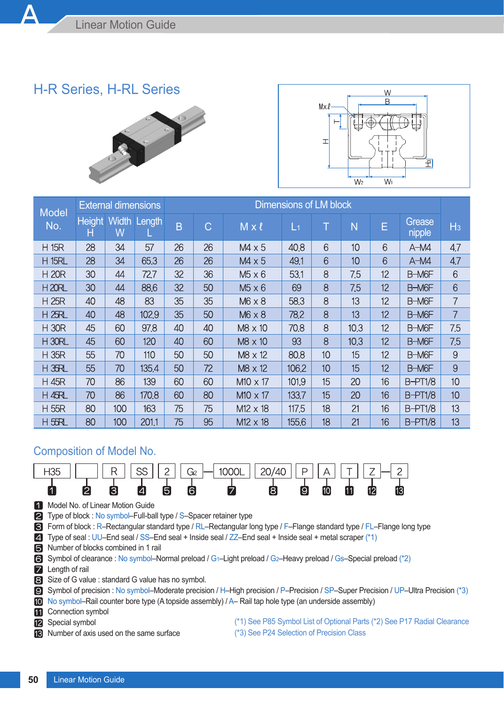## H-R Series, H-RL Series





| <b>Model</b>  |                    | <b>External dimensions</b> |        | Dimensions of LM block |    |                 |                |    |      |    |                  |                |  |
|---------------|--------------------|----------------------------|--------|------------------------|----|-----------------|----------------|----|------|----|------------------|----------------|--|
| No.           | <b>Height</b><br>Н | Width<br>W                 | Length | B                      | C  | $M \times l$    | L <sub>1</sub> | T  | N    | E  | Grease<br>nipple | H <sub>3</sub> |  |
| <b>H 15R</b>  | 28                 | 34                         | 57     | 26                     | 26 | $MA \times 5$   | 40.8           | 6  | 10   | 6  | $A-M4$           | 4,7            |  |
| <b>H 15RL</b> | 28                 | 34                         | 65.3   | 26                     | 26 | $MA \times 5$   | 49.1           | 6  | 10   | 6  | $A-M4$           | 4,7            |  |
| <b>H 20R</b>  | 30                 | 44                         | 72.7   | 32                     | 36 | $M5 \times 6$   | 53.1           | 8  | 7.5  | 12 | B-M6F            | 6              |  |
| <b>H20RL</b>  | 30                 | 44                         | 88.6   | 32                     | 50 | $M5 \times 6$   | 69             | 8  | 7.5  | 12 | B-M6F            | 6              |  |
| <b>H25R</b>   | 40                 | 48                         | 83     | 35                     | 35 | $M6 \times 8$   | 58.3           | 8  | 13   | 12 | B-M6F            | 7              |  |
| <b>H25RL</b>  | 40                 | 48                         | 102.9  | 35                     | 50 | $M6 \times 8$   | 78.2           | 8  | 13   | 12 | B-M6F            | 7              |  |
| <b>H30R</b>   | 45                 | 60                         | 97.8   | 40                     | 40 | M8 x 10         | 70.8           | 8  | 10.3 | 12 | B-M6F            | 7.5            |  |
| <b>H30RL</b>  | 45                 | 60                         | 120    | 40                     | 60 | M8 x 10         | 93             | 8  | 10.3 | 12 | B-M6F            | 7.5            |  |
| <b>H35R</b>   | 55                 | 70                         | 110    | 50                     | 50 | M8 x 12         | 80.8           | 10 | 15   | 12 | B-M6F            | 9              |  |
| H 35R         | 55                 | 70                         | 135.4  | 50                     | 72 | M8 x 12         | 106.2          | 10 | 15   | 12 | B-M6F            | 9              |  |
| <b>H 45R</b>  | 70                 | 86                         | 139    | 60                     | 60 | $M10 \times 17$ | 101.9          | 15 | 20   | 16 | <b>B-PT1/8</b>   | 10             |  |
| <b>H45RL</b>  | 70                 | 86                         | 170.8  | 60                     | 80 | $M10 \times 17$ | 133.7          | 15 | 20   | 16 | <b>B-PT1/8</b>   | 10             |  |
| <b>H 55R</b>  | 80                 | 100                        | 163    | 75                     | 75 | $M12 \times 18$ | 117.5          | 18 | 21   | 16 | <b>B-PT1/8</b>   | 13             |  |
| <b>H55RL</b>  | 80                 | 100                        | 201.1  | 75                     | 95 | $M12 \times 18$ | 155.6          | 18 | 21   | 16 | <b>B-PT1/8</b>   | 13             |  |

## Composition of Model No.



**4** Model No. of Linear Motion Guide

■ Type of block : No symbol–Full-ball type / S–Spacer retainer type

Form of block : R–Rectangular standard type / RL–Rectangular long type / F–Flange standard type / FL–Flange long type

Type of seal : UU–End seal / SS–End seal + Inside seal / ZZ–End seal + Inside seal + metal scraper (\*1)

Number of blocks combined in 1 rail

Symbol of clearance : No symbol–Normal preload / G1–Light preload / G2–Heavy preload / Gs–Special preload (\*2)

**Z** Length of rail

Size of G value : standard G value has no symbol.

Symbol of precision : No symbol–Moderate precision / H–High precision / P–Precision / SP–Super Precision / UP–Ultra Precision (\*3)

No symbol–Rail counter bore type (A topside assembly) / A– Rail tap hole type (an underside assembly)

**Connection symbol** 

**12** Special symbol

**R** Number of axis used on the same surface

(\*1) See P85 Symbol List of Optional Parts (\*2) See P17 Radial Clearance

(\*3) See P24 Selection of Precision Class